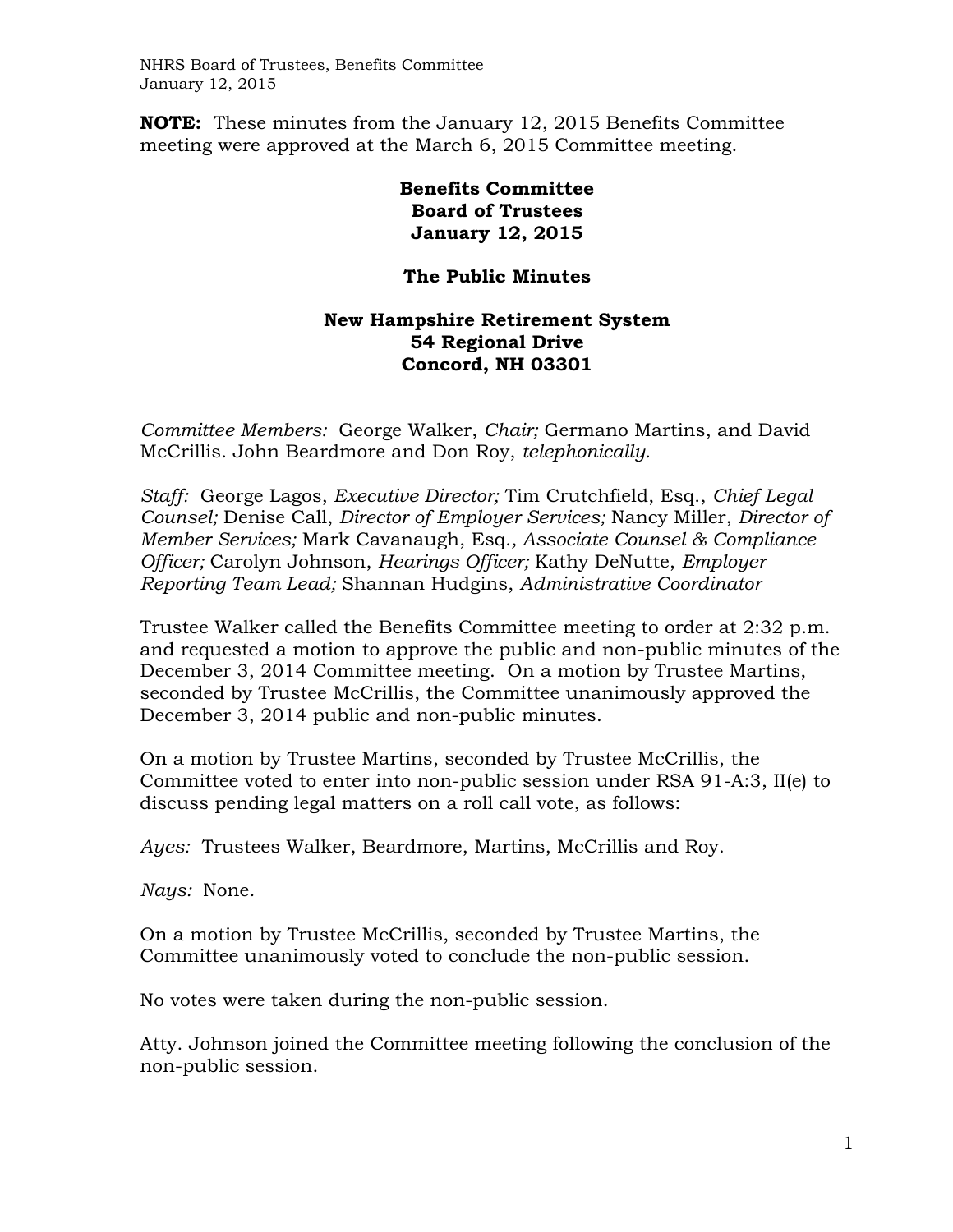**NOTE:** These minutes from the January 12, 2015 Benefits Committee meeting were approved at the March 6, 2015 Committee meeting.

> **Benefits Committee Board of Trustees January 12, 2015**

## **The Public Minutes**

## **New Hampshire Retirement System 54 Regional Drive Concord, NH 03301**

*Committee Members:* George Walker, *Chair;* Germano Martins, and David McCrillis. John Beardmore and Don Roy, *telephonically.*

*Staff:* George Lagos, *Executive Director;* Tim Crutchfield, Esq., *Chief Legal Counsel;* Denise Call, *Director of Employer Services;* Nancy Miller, *Director of Member Services;* Mark Cavanaugh, Esq.*, Associate Counsel & Compliance Officer;* Carolyn Johnson, *Hearings Officer;* Kathy DeNutte, *Employer Reporting Team Lead;* Shannan Hudgins, *Administrative Coordinator* 

Trustee Walker called the Benefits Committee meeting to order at 2:32 p.m. and requested a motion to approve the public and non-public minutes of the December 3, 2014 Committee meeting. On a motion by Trustee Martins, seconded by Trustee McCrillis, the Committee unanimously approved the December 3, 2014 public and non-public minutes.

On a motion by Trustee Martins, seconded by Trustee McCrillis, the Committee voted to enter into non-public session under RSA 91-A:3, II(e) to discuss pending legal matters on a roll call vote, as follows:

*Ayes:* Trustees Walker, Beardmore, Martins, McCrillis and Roy.

*Nays:* None.

On a motion by Trustee McCrillis, seconded by Trustee Martins, the Committee unanimously voted to conclude the non-public session.

No votes were taken during the non-public session.

Atty. Johnson joined the Committee meeting following the conclusion of the non-public session.